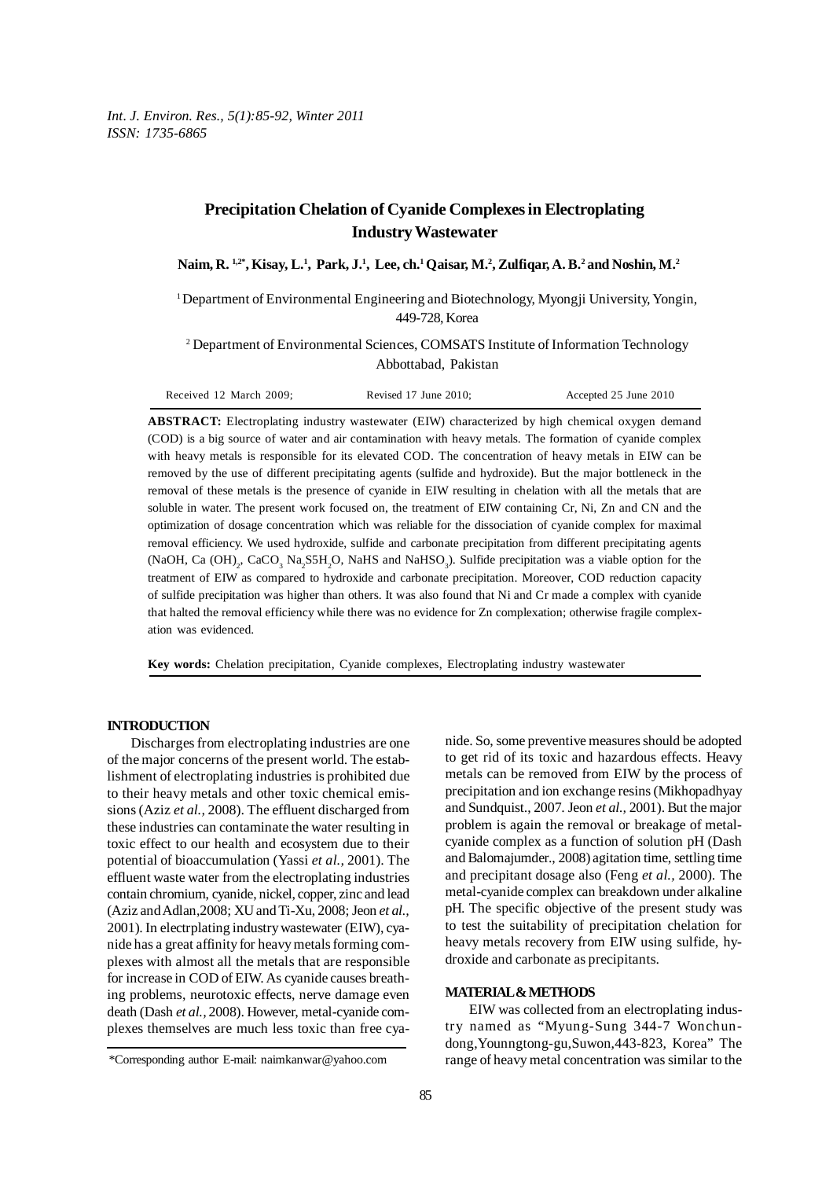# **Precipitation Chelation of Cyanide Complexes in Electroplating Industry Wastewater**

**Naim, R. 1,2\*, Kisay, L.1 , Park, J.1 , Lee, ch.1 Qaisar, M.2 , Zulfiqar, A. B.2 and Noshin, M.2**

<sup>1</sup>Department of Environmental Engineering and Biotechnology, Myongji University, Yongin, 449-728, Korea

<sup>2</sup> Department of Environmental Sciences, COMSATS Institute of Information Technology Abbottabad, Pakistan

| Received 12 March 2009; | Revised $17$ June $2010$ ; | Accepted 25 June 2010 |
|-------------------------|----------------------------|-----------------------|
|-------------------------|----------------------------|-----------------------|

**ABSTRACT:** Electroplating industry wastewater (EIW) characterized by high chemical oxygen demand (COD) is a big source of water and air contamination with heavy metals. The formation of cyanide complex with heavy metals is responsible for its elevated COD. The concentration of heavy metals in EIW can be removed by the use of different precipitating agents (sulfide and hydroxide). But the major bottleneck in the removal of these metals is the presence of cyanide in EIW resulting in chelation with all the metals that are soluble in water. The present work focused on, the treatment of EIW containing Cr, Ni, Zn and CN and the optimization of dosage concentration which was reliable for the dissociation of cyanide complex for maximal removal efficiency. We used hydroxide, sulfide and carbonate precipitation from different precipitating agents (NaOH, Ca  $(OH)_{2}$ , CaCO<sub>3</sub> Na<sub>2</sub>S5H<sub>2</sub>O, NaHS and NaHSO<sub>3</sub>). Sulfide precipitation was a viable option for the treatment of EIW as compared to hydroxide and carbonate precipitation. Moreover, COD reduction capacity of sulfide precipitation was higher than others. It was also found that Ni and Cr made a complex with cyanide that halted the removal efficiency while there was no evidence for Zn complexation; otherwise fragile complexation was evidenced.

**Key words:** Chelation precipitation, Cyanide complexes, Electroplating industry wastewater

### **INTRODUCTION**

Discharges from electroplating industries are one of the major concerns of the present world. The establishment of electroplating industries is prohibited due to their heavy metals and other toxic chemical emissions (Aziz *et al.,* 2008). The effluent discharged from these industries can contaminate the water resulting in toxic effect to our health and ecosystem due to their potential of bioaccumulation (Yassi *et al.,* 2001). The effluent waste water from the electroplating industries contain chromium, cyanide, nickel, copper, zinc and lead (Aziz and Adlan,2008; XU and Ti-Xu, 2008; Jeon *et al.,* 2001). In electrplating industry wastewater (EIW), cyanide has a great affinity for heavy metals forming complexes with almost all the metals that are responsible for increase in COD of EIW. As cyanide causes breathing problems, neurotoxic effects, nerve damage even death (Dash *et al.,* 2008). However, metal-cyanide complexes themselves are much less toxic than free cya-

to get rid of its toxic and hazardous effects. Heavy metals can be removed from EIW by the process of precipitation and ion exchange resins (Mikhopadhyay and Sundquist., 2007. Jeon *et al.,* 2001). But the major problem is again the removal or breakage of metalcyanide complex as a function of solution pH (Dash and Balomajumder., 2008) agitation time, settling time and precipitant dosage also (Feng *et al.,* 2000). The metal-cyanide complex can breakdown under alkaline pH. The specific objective of the present study was to test the suitability of precipitation chelation for heavy metals recovery from EIW using sulfide, hydroxide and carbonate as precipitants.

nide. So, some preventive measures should be adopted

## **MATERIAL & METHODS**

EIW was collected from an electroplating industry named as "Myung-Sung 344-7 Wonchundong,Younngtong-gu,Suwon,443-823, Korea" The range of heavy metal concentration was similar to the

<sup>\*</sup>Corresponding author E-mail: naimkanwar@yahoo.com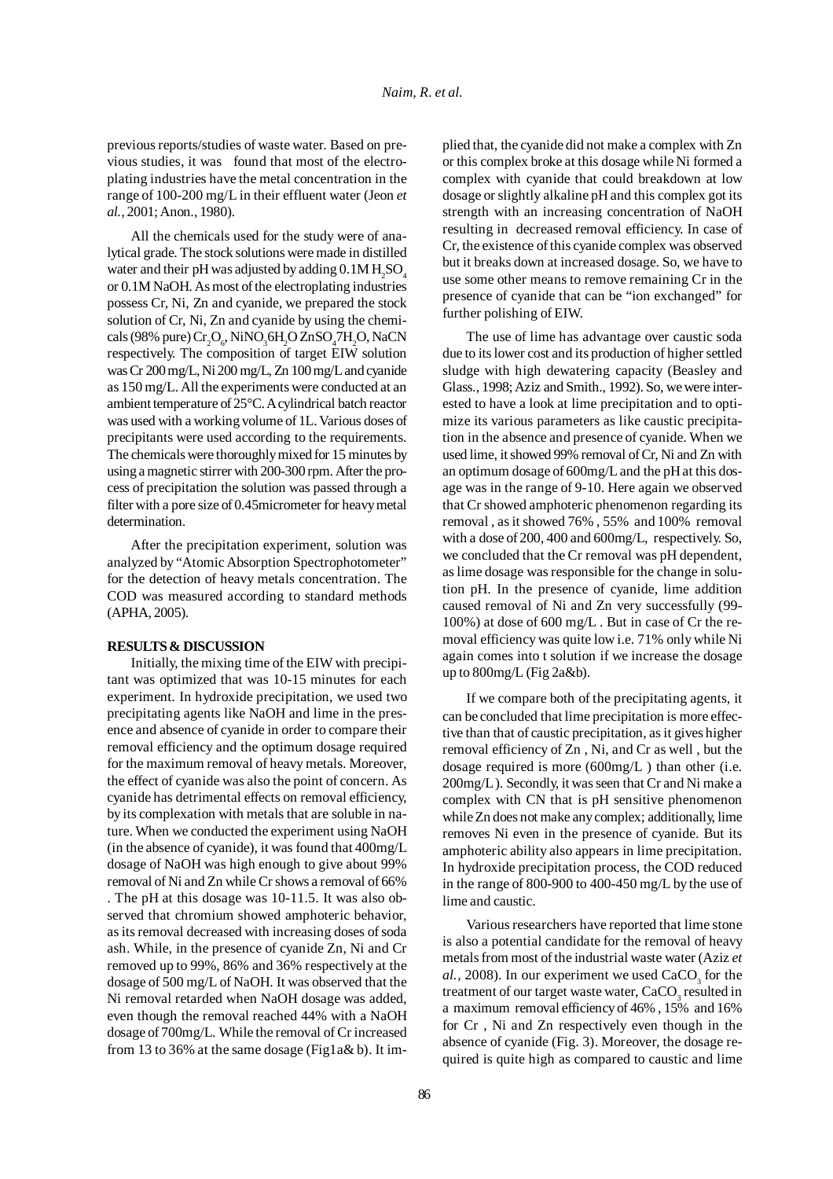previous reports/studies of waste water. Based on previous studies, it was found that most of the electroplating industries have the metal concentration in the range of 100-200 mg/L in their effluent water (Jeon *et al.,* 2001; Anon., 1980).

All the chemicals used for the study were of analytical grade. The stock solutions were made in distilled water and their pH was adjusted by adding  $0.1M H_2SO_4$ or 0.1M NaOH. As most of the electroplating industries possess Cr, Ni, Zn and cyanide, we prepared the stock solution of Cr, Ni, Zn and cyanide by using the chemicals (98% pure)  $\text{Cr}_2\text{O}_6$ , NiNO<sub>3</sub>6H<sub>2</sub>O ZnSO<sub>4</sub>7H<sub>2</sub>O, NaCN respectively. The composition of target EIW solution was Cr 200 mg/L, Ni 200 mg/L, Zn 100 mg/L and cyanide as 150 mg/L. All the experiments were conducted at an ambient temperature of 25°C. A cylindrical batch reactor was used with a working volume of 1L. Various doses of precipitants were used according to the requirements. The chemicals were thoroughly mixed for 15 minutes by using a magnetic stirrer with 200-300 rpm. After the process of precipitation the solution was passed through a filter with a pore size of 0.45micrometer for heavy metal determination.

After the precipitation experiment, solution was analyzed by "Atomic Absorption Spectrophotometer" for the detection of heavy metals concentration. The COD was measured according to standard methods (APHA, 2005).

#### **RESULTS & DISCUSSION**

Initially, the mixing time of the EIW with precipitant was optimized that was 10-15 minutes for each experiment. In hydroxide precipitation, we used two precipitating agents like NaOH and lime in the presence and absence of cyanide in order to compare their removal efficiency and the optimum dosage required for the maximum removal of heavy metals. Moreover, the effect of cyanide was also the point of concern. As cyanide has detrimental effects on removal efficiency, by its complexation with metals that are soluble in nature. When we conducted the experiment using NaOH (in the absence of cyanide), it was found that 400mg/L dosage of NaOH was high enough to give about 99% removal of Ni and Zn while Cr shows a removal of 66% . The pH at this dosage was 10-11.5. It was also observed that chromium showed amphoteric behavior, as its removal decreased with increasing doses of soda ash. While, in the presence of cyanide Zn, Ni and Cr removed up to 99%, 86% and 36% respectively at the dosage of 500 mg/L of NaOH. It was observed that the Ni removal retarded when NaOH dosage was added, even though the removal reached 44% with a NaOH dosage of 700mg/L. While the removal of Cr increased from 13 to 36% at the same dosage (Fig1a& b). It implied that, the cyanide did not make a complex with Zn or this complex broke at this dosage while Ni formed a complex with cyanide that could breakdown at low dosage or slightly alkaline pH and this complex got its strength with an increasing concentration of NaOH resulting in decreased removal efficiency. In case of Cr, the existence of this cyanide complex was observed but it breaks down at increased dosage. So, we have to use some other means to remove remaining Cr in the presence of cyanide that can be "ion exchanged" for further polishing of EIW.

The use of lime has advantage over caustic soda due to its lower cost and its production of higher settled sludge with high dewatering capacity (Beasley and Glass., 1998; Aziz and Smith., 1992). So, we were interested to have a look at lime precipitation and to optimize its various parameters as like caustic precipitation in the absence and presence of cyanide. When we used lime, it showed 99% removal of Cr, Ni and Zn with an optimum dosage of 600mg/L and the pH at this dosage was in the range of 9-10. Here again we observed that Cr showed amphoteric phenomenon regarding its removal , as it showed 76% , 55% and 100% removal with a dose of 200, 400 and 600mg/L, respectively. So, we concluded that the Cr removal was pH dependent, as lime dosage was responsible for the change in solution pH. In the presence of cyanide, lime addition caused removal of Ni and Zn very successfully (99- 100%) at dose of 600 mg/L . But in case of Cr the removal efficiency was quite low i.e. 71% only while Ni again comes into t solution if we increase the dosage up to 800mg/L (Fig 2a&b).

If we compare both of the precipitating agents, it can be concluded that lime precipitation is more effective than that of caustic precipitation, as it gives higher removal efficiency of Zn , Ni, and Cr as well , but the dosage required is more (600mg/L ) than other (i.e. 200mg/L ). Secondly, it was seen that Cr and Ni make a complex with CN that is pH sensitive phenomenon while Zn does not make any complex; additionally, lime removes Ni even in the presence of cyanide. But its amphoteric ability also appears in lime precipitation. In hydroxide precipitation process, the COD reduced in the range of 800-900 to 400-450 mg/L by the use of lime and caustic.

Various researchers have reported that lime stone is also a potential candidate for the removal of heavy metals from most of the industrial waste water (Aziz *et*  $al., 2008$ ). In our experiment we used  $CaCO<sub>3</sub>$  for the treatment of our target waste water, CaCO<sub>3</sub> resulted in a maximum removal efficiency of 46% , 15% and 16% for Cr , Ni and Zn respectively even though in the absence of cyanide (Fig. 3). Moreover, the dosage required is quite high as compared to caustic and lime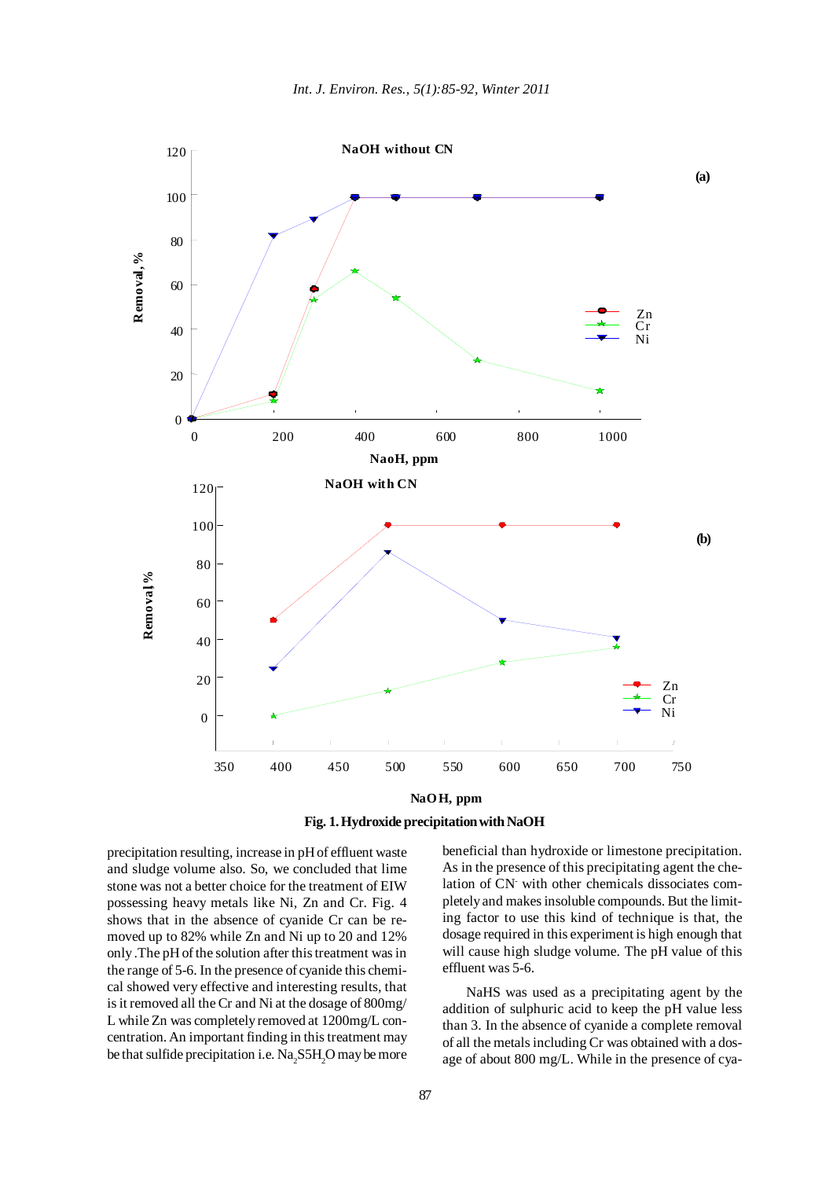

**Fig. 1. Hydroxide precipitation with NaOH**

precipitation resulting, increase in pH of effluent waste and sludge volume also. So, we concluded that lime stone was not a better choice for the treatment of EIW possessing heavy metals like Ni, Zn and Cr. Fig. 4 shows that in the absence of cyanide Cr can be removed up to 82% while Zn and Ni up to 20 and 12% only .The pH of the solution after this treatment was in the range of 5-6. In the presence of cyanide this chemical showed very effective and interesting results, that is it removed all the Cr and Ni at the dosage of 800mg/ L while Zn was completely removed at 1200mg/L concentration. An important finding in this treatment may be that sulfide precipitation i.e.  $\text{Na}_2\text{S}5\text{H}_2\text{O}$  may be more

beneficial than hydroxide or limestone precipitation. As in the presence of this precipitating agent the chelation of CN- with other chemicals dissociates completely and makes insoluble compounds. But the limiting factor to use this kind of technique is that, the dosage required in this experiment is high enough that will cause high sludge volume. The pH value of this effluent was 5-6.

NaHS was used as a precipitating agent by the addition of sulphuric acid to keep the pH value less than 3. In the absence of cyanide a complete removal of all the metals including Cr was obtained with a dosage of about 800 mg/L. While in the presence of cya-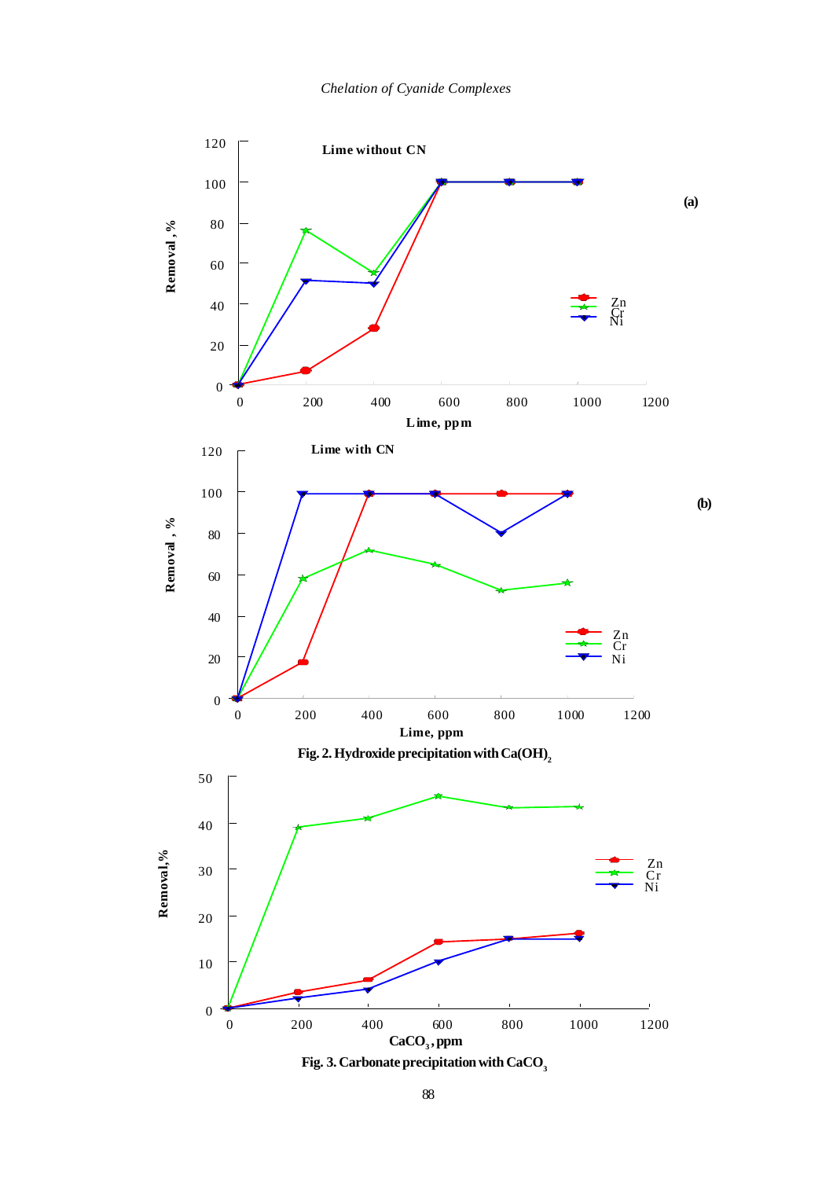

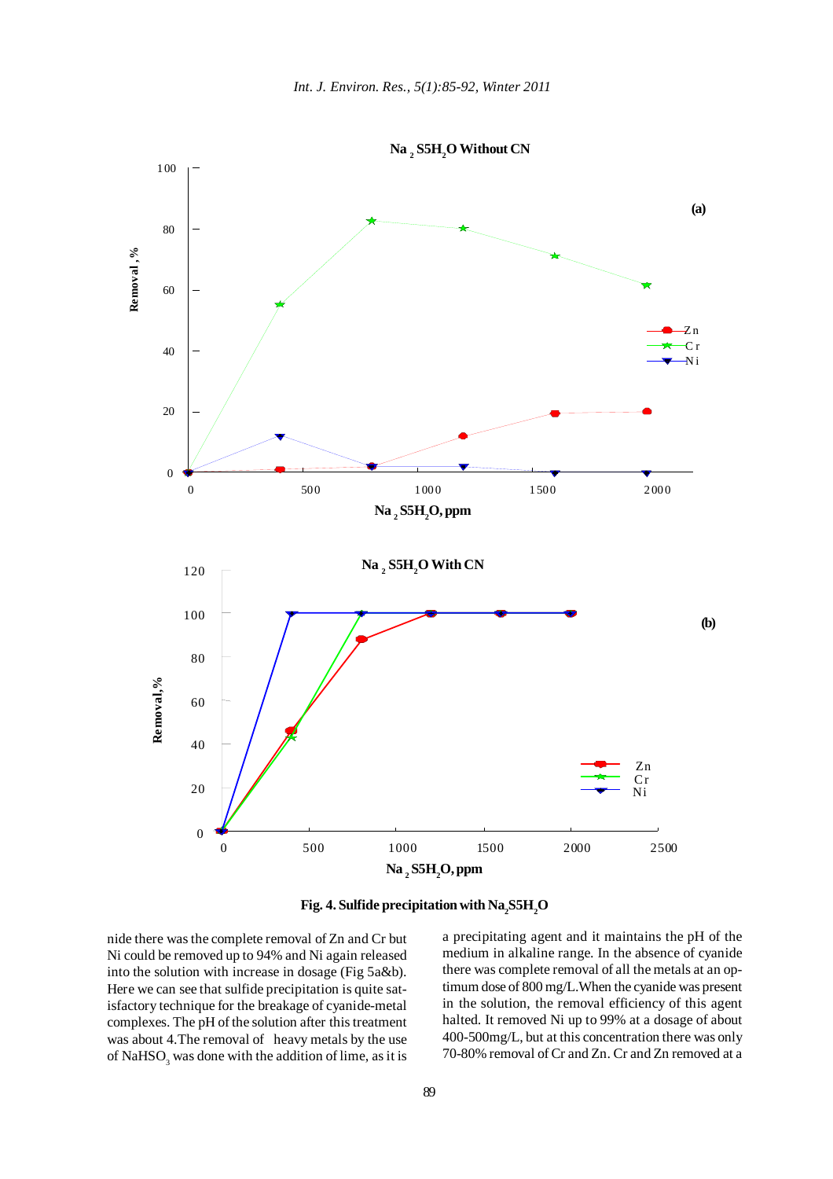



nide there was the complete removal of Zn and Cr but Ni could be removed up to 94% and Ni again released into the solution with increase in dosage (Fig 5a&b). Here we can see that sulfide precipitation is quite satisfactory technique for the breakage of cyanide-metal complexes. The pH of the solution after this treatment was about 4.The removal of heavy metals by the use of  $\mathrm{NaHSO}_{_3}$  was done with the addition of lime, as it is

a precipitating agent and it maintains the pH of the medium in alkaline range. In the absence of cyanide there was complete removal of all the metals at an optimum dose of 800 mg/L.When the cyanide was present in the solution, the removal efficiency of this agent halted. It removed Ni up to 99% at a dosage of about 400-500mg/L, but at this concentration there was only 70-80% removal of Cr and Zn. Cr and Zn removed at a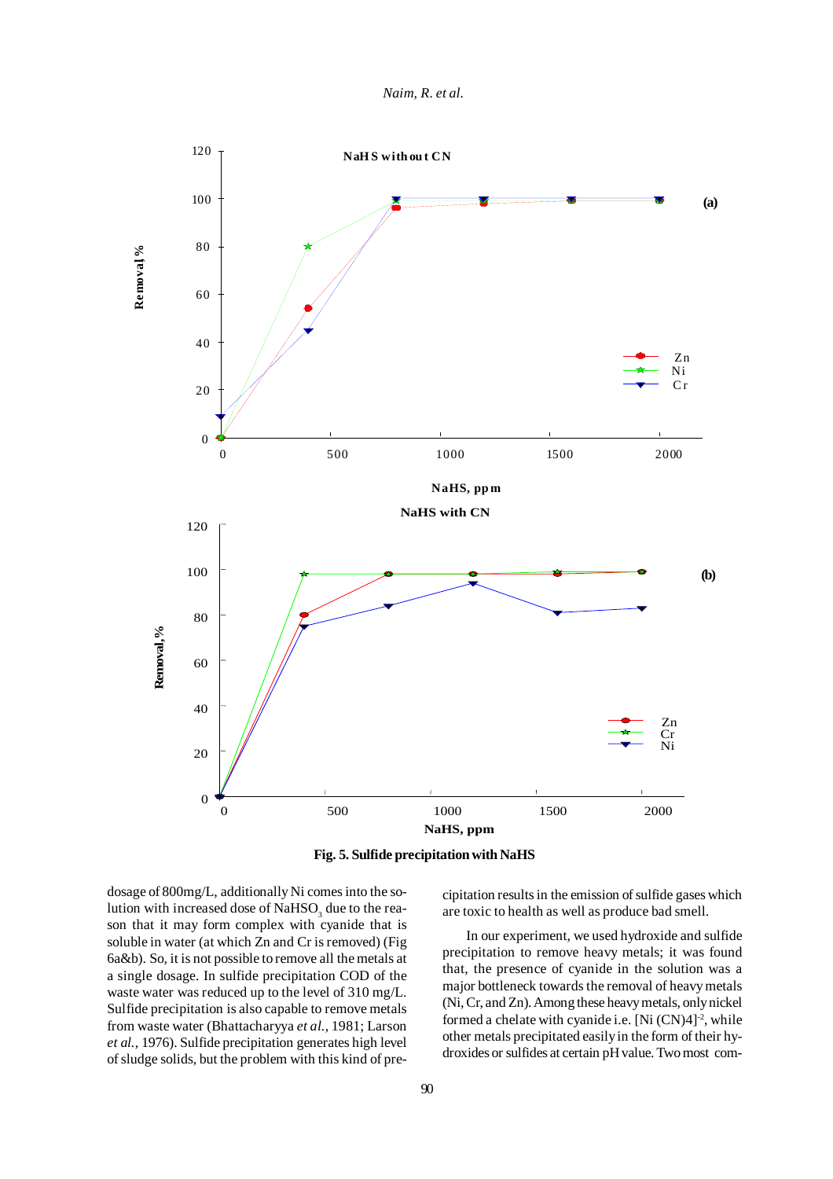*Naim, R. et al.*



**Fig. 5. Sulfide precipitation with NaHS**

dosage of 800mg/L, additionally Ni comes into the solution with increased dose of  $\mathrm{NaHSO}_{_3}$  due to the reason that it may form complex with cyanide that is soluble in water (at which Zn and Cr is removed) (Fig 6a&b). So, it is not possible to remove all the metals at a single dosage. In sulfide precipitation COD of the waste water was reduced up to the level of 310 mg/L. Sulfide precipitation is also capable to remove metals from waste water (Bhattacharyya *et al.,* 1981; Larson *et al.,* 1976). Sulfide precipitation generates high level of sludge solids, but the problem with this kind of precipitation results in the emission of sulfide gases which are toxic to health as well as produce bad smell.

In our experiment, we used hydroxide and sulfide precipitation to remove heavy metals; it was found that, the presence of cyanide in the solution was a major bottleneck towards the removal of heavy metals (Ni, Cr, and Zn). Among these heavy metals, only nickel formed a chelate with cyanide i.e. [Ni  $(CN)4$ ]<sup>-2</sup>, while other metals precipitated easily in the form of their hydroxides or sulfides at certain pH value. Two most com-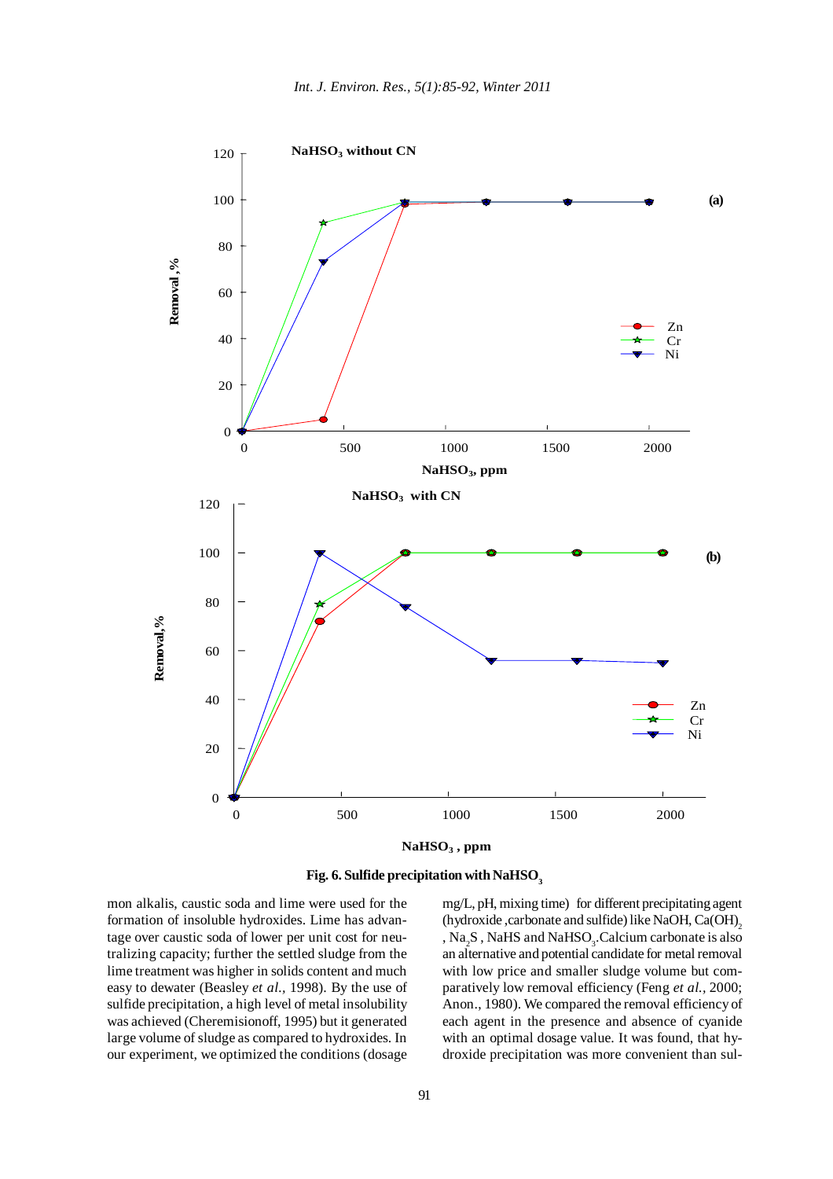



mon alkalis, caustic soda and lime were used for the formation of insoluble hydroxides. Lime has advantage over caustic soda of lower per unit cost for neutralizing capacity; further the settled sludge from the lime treatment was higher in solids content and much easy to dewater (Beasley *et al.,* 1998). By the use of sulfide precipitation, a high level of metal insolubility was achieved (Cheremisionoff, 1995) but it generated large volume of sludge as compared to hydroxides. In our experiment, we optimized the conditions (dosage

mg/L, pH, mixing time) for different precipitating agent (hydroxide, carbonate and sulfide) like NaOH, Ca(OH), ,  $\text{Na}_2\text{S}$  , NaHS and NaHSO<sub>3</sub>. Calcium carbonate is also an alternative and potential candidate for metal removal with low price and smaller sludge volume but comparatively low removal efficiency (Feng *et al.,* 2000; Anon., 1980). We compared the removal efficiency of each agent in the presence and absence of cyanide with an optimal dosage value. It was found, that hydroxide precipitation was more convenient than sul